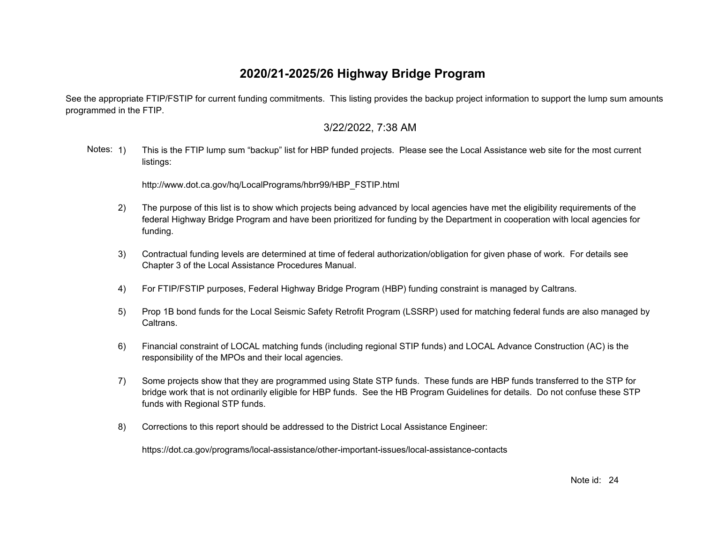See the appropriate FTIP/FSTIP for current funding commitments. This listing provides the backup project information to support the lump sum amounts programmed in the FTIP.

#### 3/22/2022, 7:38 AM

Notes: 1) This is the FTIP lump sum "backup" list for HBP funded projects. Please see the Local Assistance web site for the most current listings:

[http://www.dot.ca.gov/hq/LocalPrograms/hbrr99/HBP\\_FSTIP.html](http://www.dot.ca.gov/hq/LocalPrograms/hbrr99/HBP_FSTIP.html)

- 2) The purpose of this list is to show which projects being advanced by local agencies have met the eligibility requirements of the federal Highway Bridge Program and have been prioritized for funding by the Department in cooperation with local agencies for funding.
- 3) Contractual funding levels are determined at time of federal authorization/obligation for given phase of work. For details see Chapter 3 of the Local Assistance Procedures Manual.
- 4) For FTIP/FSTIP purposes, Federal Highway Bridge Program (HBP) funding constraint is managed by Caltrans.
- 5) Prop 1B bond funds for the Local Seismic Safety Retrofit Program (LSSRP) used for matching federal funds are also managed by Caltrans.
- 6) Financial constraint of LOCAL matching funds (including regional STIP funds) and LOCAL Advance Construction (AC) is the responsibility of the MPOs and their local agencies.
- 7) Some projects show that they are programmed using State STP funds. These funds are HBP funds transferred to the STP for bridge work that is not ordinarily eligible for HBP funds. See the HB Program Guidelines for details. Do not confuse these STP funds with Regional STP funds.
- 8) Corrections to this report should be addressed to the District Local Assistance Engineer:

<https://dot.ca.gov/programs/local-assistance/other-important-issues/local-assistance-contacts>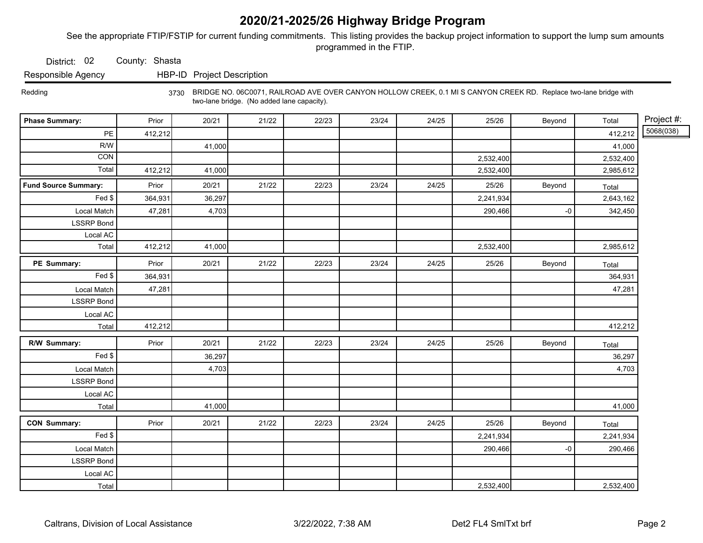See the appropriate FTIP/FSTIP for current funding commitments. This listing provides the backup project information to support the lump sum amounts programmed in the FTIP.

District: 02 County: Shasta

Responsible Agency HBP-ID Project Description

 Redding 3730 BRIDGE NO. 06C0071, RAILROAD AVE OVER CANYON HOLLOW CREEK, 0.1 MI S CANYON CREEK RD. Replace two-lane bridge with two-lane bridge. (No added lane capacity).

| <b>Phase Summary:</b>       | Prior   | 20/21  | 21/22 | 22/23 | 23/24 | 24/25 | 25/26     | Beyond | Total     | Project #: |
|-----------------------------|---------|--------|-------|-------|-------|-------|-----------|--------|-----------|------------|
| $\mathsf{PE}$               | 412,212 |        |       |       |       |       |           |        | 412,212   | 5068(038)  |
| R/W                         |         | 41,000 |       |       |       |       |           |        | 41,000    |            |
| CON                         |         |        |       |       |       |       | 2,532,400 |        | 2,532,400 |            |
| Total                       | 412,212 | 41,000 |       |       |       |       | 2,532,400 |        | 2,985,612 |            |
| <b>Fund Source Summary:</b> | Prior   | 20/21  | 21/22 | 22/23 | 23/24 | 24/25 | 25/26     | Beyond | Total     |            |
| Fed \$                      | 364,931 | 36,297 |       |       |       |       | 2,241,934 |        | 2,643,162 |            |
| Local Match                 | 47,281  | 4,703  |       |       |       |       | 290,466   | -0     | 342,450   |            |
| <b>LSSRP Bond</b>           |         |        |       |       |       |       |           |        |           |            |
| Local AC                    |         |        |       |       |       |       |           |        |           |            |
| Total                       | 412,212 | 41,000 |       |       |       |       | 2,532,400 |        | 2,985,612 |            |
| PE Summary:                 | Prior   | 20/21  | 21/22 | 22/23 | 23/24 | 24/25 | 25/26     | Beyond | Total     |            |
| $\overline{F}$ ed \$        | 364,931 |        |       |       |       |       |           |        | 364,931   |            |
| Local Match                 | 47,281  |        |       |       |       |       |           |        | 47,281    |            |
| <b>LSSRP Bond</b>           |         |        |       |       |       |       |           |        |           |            |
| Local AC                    |         |        |       |       |       |       |           |        |           |            |
| Total                       | 412,212 |        |       |       |       |       |           |        | 412,212   |            |
| R/W Summary:                | Prior   | 20/21  | 21/22 | 22/23 | 23/24 | 24/25 | 25/26     | Beyond | Total     |            |
| Fed                         |         | 36,297 |       |       |       |       |           |        | 36,297    |            |
| Local Match                 |         | 4,703  |       |       |       |       |           |        | 4,703     |            |
| <b>LSSRP Bond</b>           |         |        |       |       |       |       |           |        |           |            |
| Local AC                    |         |        |       |       |       |       |           |        |           |            |
| Total                       |         | 41,000 |       |       |       |       |           |        | 41,000    |            |
| <b>CON Summary:</b>         | Prior   | 20/21  | 21/22 | 22/23 | 23/24 | 24/25 | 25/26     | Beyond | Total     |            |
| Fed                         |         |        |       |       |       |       | 2,241,934 |        | 2,241,934 |            |
| Local Match                 |         |        |       |       |       |       | 290,466   | -0     | 290,466   |            |
| <b>LSSRP Bond</b>           |         |        |       |       |       |       |           |        |           |            |
| Local AC                    |         |        |       |       |       |       |           |        |           |            |
| Total                       |         |        |       |       |       |       | 2,532,400 |        | 2,532,400 |            |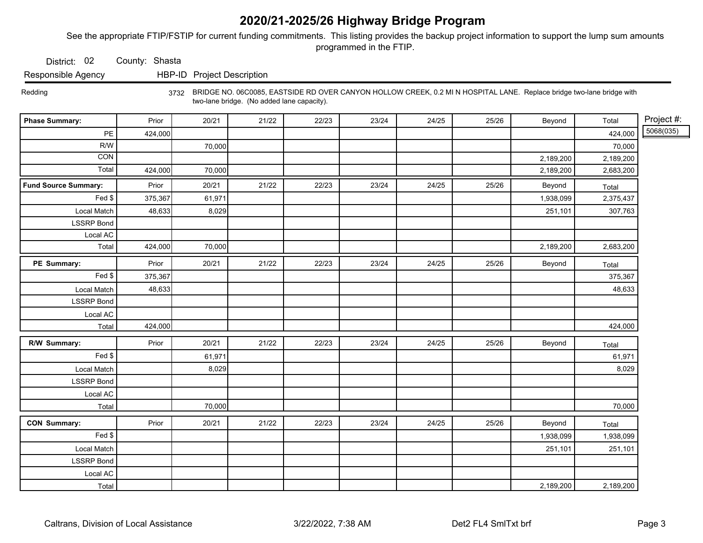See the appropriate FTIP/FSTIP for current funding commitments. This listing provides the backup project information to support the lump sum amounts programmed in the FTIP.

District: 02 County: Shasta

Responsible Agency HBP-ID Project Description

 Redding 3732 BRIDGE NO. 06C0085, EASTSIDE RD OVER CANYON HOLLOW CREEK, 0.2 MI N HOSPITAL LANE. Replace bridge two-lane bridge with two-lane bridge. (No added lane capacity).

| <b>Phase Summary:</b>       | Prior   | 20/21  | 21/22 | 22/23 | 23/24 | 24/25 | 25/26 | Beyond    | Total     | Project #: |
|-----------------------------|---------|--------|-------|-------|-------|-------|-------|-----------|-----------|------------|
| $PE$                        | 424,000 |        |       |       |       |       |       |           | 424,000   | 5068(035)  |
| R/W                         |         | 70,000 |       |       |       |       |       |           | 70,000    |            |
| CON                         |         |        |       |       |       |       |       | 2,189,200 | 2,189,200 |            |
| Total                       | 424,000 | 70,000 |       |       |       |       |       | 2,189,200 | 2,683,200 |            |
| <b>Fund Source Summary:</b> | Prior   | 20/21  | 21/22 | 22/23 | 23/24 | 24/25 | 25/26 | Beyond    | Total     |            |
| Fed                         | 375,367 | 61,971 |       |       |       |       |       | 1,938,099 | 2,375,437 |            |
| Local Match                 | 48,633  | 8,029  |       |       |       |       |       | 251,101   | 307,763   |            |
| <b>LSSRP Bond</b>           |         |        |       |       |       |       |       |           |           |            |
| Local AC                    |         |        |       |       |       |       |       |           |           |            |
| Total                       | 424,000 | 70,000 |       |       |       |       |       | 2,189,200 | 2,683,200 |            |
| PE Summary:                 | Prior   | 20/21  | 21/22 | 22/23 | 23/24 | 24/25 | 25/26 | Beyond    | Total     |            |
| Fed                         | 375,367 |        |       |       |       |       |       |           | 375,367   |            |
| Local Match                 | 48,633  |        |       |       |       |       |       |           | 48,633    |            |
| <b>LSSRP Bond</b>           |         |        |       |       |       |       |       |           |           |            |
| Local AC                    |         |        |       |       |       |       |       |           |           |            |
| Total                       | 424,000 |        |       |       |       |       |       |           | 424,000   |            |
| R/W Summary:                | Prior   | 20/21  | 21/22 | 22/23 | 23/24 | 24/25 | 25/26 | Beyond    | Total     |            |
| Fed                         |         | 61,971 |       |       |       |       |       |           | 61,971    |            |
| Local Match                 |         | 8,029  |       |       |       |       |       |           | 8,029     |            |
| <b>LSSRP Bond</b>           |         |        |       |       |       |       |       |           |           |            |
| Local AC                    |         |        |       |       |       |       |       |           |           |            |
| Total                       |         | 70,000 |       |       |       |       |       |           | 70,000    |            |
| <b>CON Summary:</b>         | Prior   | 20/21  | 21/22 | 22/23 | 23/24 | 24/25 | 25/26 | Beyond    | Total     |            |
| Fed                         |         |        |       |       |       |       |       | 1,938,099 | 1,938,099 |            |
| Local Match                 |         |        |       |       |       |       |       | 251,101   | 251,101   |            |
| <b>LSSRP Bond</b>           |         |        |       |       |       |       |       |           |           |            |
| Local AC                    |         |        |       |       |       |       |       |           |           |            |
| Total                       |         |        |       |       |       |       |       | 2,189,200 | 2,189,200 |            |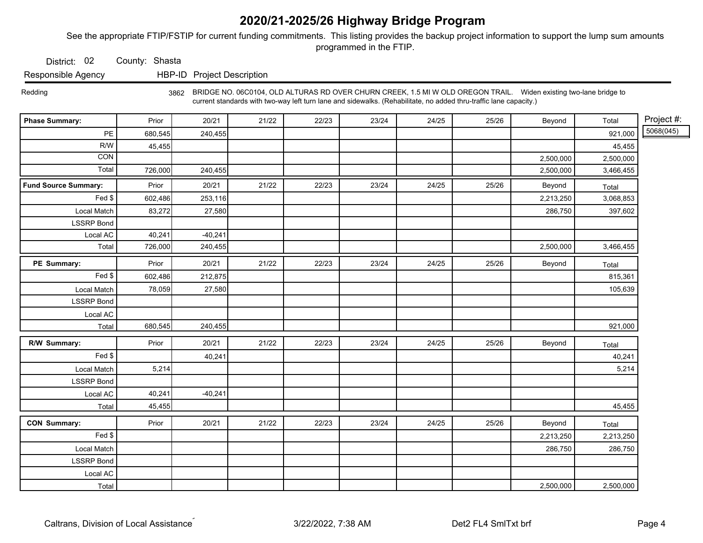See the appropriate FTIP/FSTIP for current funding commitments. This listing provides the backup project information to support the lump sum amounts programmed in the FTIP.

District: 02 County: Shasta

Responsible Agency HBP-ID Project Description

 Redding 3862 BRIDGE NO. 06C0104, OLD ALTURAS RD OVER CHURN CREEK, 1.5 MI W OLD OREGON TRAIL. Widen existing two-lane bridge to current standards with two-way left turn lane and sidewalks. (Rehabilitate, no added thru-traffic lane capacity.)

| <b>Phase Summary:</b>       | Prior   | 20/21     | 21/22 | 22/23 | 23/24 | 24/25 | 25/26 | Beyond    | Total     | Project #: |
|-----------------------------|---------|-----------|-------|-------|-------|-------|-------|-----------|-----------|------------|
| PE                          | 680,545 | 240,455   |       |       |       |       |       |           | 921,000   | 5068(045)  |
| R/W                         | 45,455  |           |       |       |       |       |       |           | 45,455    |            |
| CON                         |         |           |       |       |       |       |       | 2,500,000 | 2,500,000 |            |
| Total                       | 726,000 | 240,455   |       |       |       |       |       | 2,500,000 | 3,466,455 |            |
| <b>Fund Source Summary:</b> | Prior   | 20/21     | 21/22 | 22/23 | 23/24 | 24/25 | 25/26 | Beyond    | Total     |            |
| Fed \$                      | 602,486 | 253,116   |       |       |       |       |       | 2,213,250 | 3,068,853 |            |
| Local Match                 | 83,272  | 27,580    |       |       |       |       |       | 286,750   | 397,602   |            |
| <b>LSSRP Bond</b>           |         |           |       |       |       |       |       |           |           |            |
| Local AC                    | 40,241  | $-40,241$ |       |       |       |       |       |           |           |            |
| Total                       | 726,000 | 240,455   |       |       |       |       |       | 2,500,000 | 3,466,455 |            |
| PE Summary:                 | Prior   | 20/21     | 21/22 | 22/23 | 23/24 | 24/25 | 25/26 | Beyond    | Total     |            |
| Fed \$                      | 602,486 | 212,875   |       |       |       |       |       |           | 815,361   |            |
| Local Match                 | 78,059  | 27,580    |       |       |       |       |       |           | 105,639   |            |
| <b>LSSRP Bond</b>           |         |           |       |       |       |       |       |           |           |            |
| Local AC                    |         |           |       |       |       |       |       |           |           |            |
| Total                       | 680,545 | 240,455   |       |       |       |       |       |           | 921,000   |            |
| R/W Summary:                | Prior   | 20/21     | 21/22 | 22/23 | 23/24 | 24/25 | 25/26 | Beyond    | Total     |            |
| Fed \$                      |         | 40,241    |       |       |       |       |       |           | 40,241    |            |
| Local Match                 | 5,214   |           |       |       |       |       |       |           | 5,214     |            |
| <b>LSSRP Bond</b>           |         |           |       |       |       |       |       |           |           |            |
| Local AC                    | 40,241  | $-40,241$ |       |       |       |       |       |           |           |            |
| Total                       | 45,455  |           |       |       |       |       |       |           | 45,455    |            |
| <b>CON Summary:</b>         | Prior   | 20/21     | 21/22 | 22/23 | 23/24 | 24/25 | 25/26 | Beyond    | Total     |            |
| Fed \$                      |         |           |       |       |       |       |       | 2,213,250 | 2,213,250 |            |
| Local Match                 |         |           |       |       |       |       |       | 286,750   | 286,750   |            |
| <b>LSSRP Bond</b>           |         |           |       |       |       |       |       |           |           |            |
| Local AC                    |         |           |       |       |       |       |       |           |           |            |
| Total                       |         |           |       |       |       |       |       | 2,500,000 | 2,500,000 |            |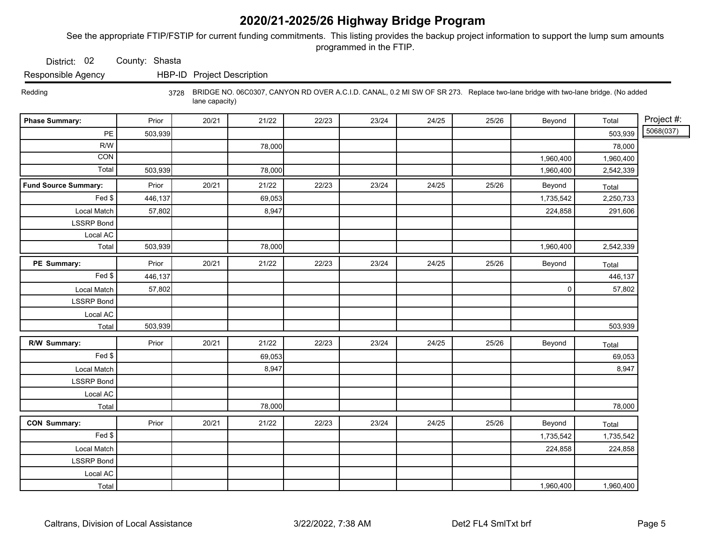See the appropriate FTIP/FSTIP for current funding commitments. This listing provides the backup project information to support the lump sum amounts programmed in the FTIP.

District: 02 County: Shasta

Responsible Agency HBP-ID Project Description

 Redding 3728 BRIDGE NO. 06C0307, CANYON RD OVER A.C.I.D. CANAL, 0.2 MI SW OF SR 273. Replace two-lane bridge with two-lane bridge. (No added lane capacity)

| <b>Phase Summary:</b>       | Prior   | 20/21 | 21/22  | 22/23 | 23/24 | 24/25 | 25/26 | Beyond      | Total     | Project #: |
|-----------------------------|---------|-------|--------|-------|-------|-------|-------|-------------|-----------|------------|
| PE                          | 503,939 |       |        |       |       |       |       |             | 503,939   | 5068(037)  |
| R/W                         |         |       | 78,000 |       |       |       |       |             | 78,000    |            |
| CON                         |         |       |        |       |       |       |       | 1,960,400   | 1,960,400 |            |
| Total                       | 503,939 |       | 78,000 |       |       |       |       | 1,960,400   | 2,542,339 |            |
| <b>Fund Source Summary:</b> | Prior   | 20/21 | 21/22  | 22/23 | 23/24 | 24/25 | 25/26 | Beyond      | Total     |            |
| Fed \$                      | 446,137 |       | 69,053 |       |       |       |       | 1,735,542   | 2,250,733 |            |
| Local Match                 | 57,802  |       | 8,947  |       |       |       |       | 224,858     | 291,606   |            |
| <b>LSSRP Bond</b>           |         |       |        |       |       |       |       |             |           |            |
| Local AC                    |         |       |        |       |       |       |       |             |           |            |
| Total                       | 503,939 |       | 78,000 |       |       |       |       | 1,960,400   | 2,542,339 |            |
| PE Summary:                 | Prior   | 20/21 | 21/22  | 22/23 | 23/24 | 24/25 | 25/26 | Beyond      | Total     |            |
| Fed \$                      | 446,137 |       |        |       |       |       |       |             | 446,137   |            |
| Local Match                 | 57,802  |       |        |       |       |       |       | $\mathsf 0$ | 57,802    |            |
| <b>LSSRP Bond</b>           |         |       |        |       |       |       |       |             |           |            |
| Local AC                    |         |       |        |       |       |       |       |             |           |            |
| Total                       | 503,939 |       |        |       |       |       |       |             | 503,939   |            |
| R/W Summary:                | Prior   | 20/21 | 21/22  | 22/23 | 23/24 | 24/25 | 25/26 | Beyond      | Total     |            |
| Fed \$                      |         |       | 69,053 |       |       |       |       |             | 69,053    |            |
| Local Match                 |         |       | 8,947  |       |       |       |       |             | 8,947     |            |
| <b>LSSRP Bond</b>           |         |       |        |       |       |       |       |             |           |            |
| Local AC                    |         |       |        |       |       |       |       |             |           |            |
| Total                       |         |       | 78,000 |       |       |       |       |             | 78,000    |            |
| <b>CON Summary:</b>         | Prior   | 20/21 | 21/22  | 22/23 | 23/24 | 24/25 | 25/26 | Beyond      | Total     |            |
| Fed                         |         |       |        |       |       |       |       | 1,735,542   | 1,735,542 |            |
| Local Match                 |         |       |        |       |       |       |       | 224,858     | 224,858   |            |
| <b>LSSRP Bond</b>           |         |       |        |       |       |       |       |             |           |            |
| Local AC                    |         |       |        |       |       |       |       |             |           |            |
| Total                       |         |       |        |       |       |       |       | 1,960,400   | 1,960,400 |            |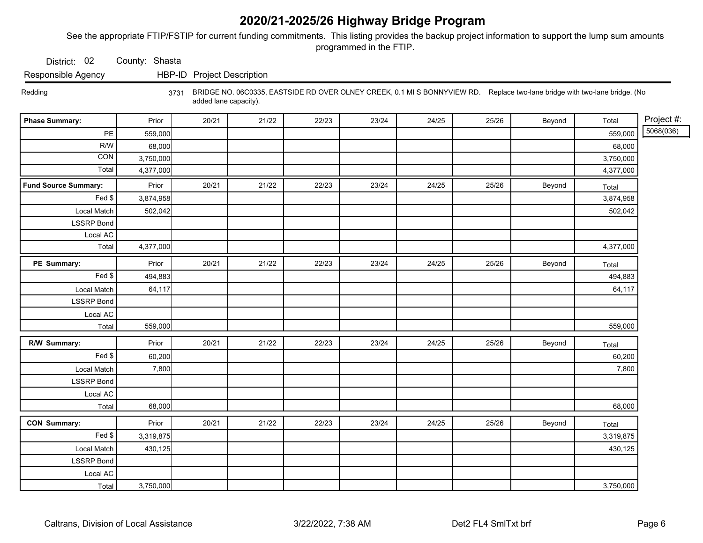See the appropriate FTIP/FSTIP for current funding commitments. This listing provides the backup project information to support the lump sum amounts programmed in the FTIP.

District: 02 County: Shasta

Responsible Agency HBP-ID Project Description

 Redding 3731 BRIDGE NO. 06C0335, EASTSIDE RD OVER OLNEY CREEK, 0.1 MI S BONNYVIEW RD. Replace two-lane bridge with two-lane bridge. (No added lane capacity).

| <b>Phase Summary:</b> | Prior     | 20/21 | 21/22 | 22/23 | 23/24 | 24/25 | 25/26 | Beyond | Total     | Project #: |
|-----------------------|-----------|-------|-------|-------|-------|-------|-------|--------|-----------|------------|
| PE                    | 559,000   |       |       |       |       |       |       |        | 559,000   | 5068(036)  |
| R/W                   | 68,000    |       |       |       |       |       |       |        | 68,000    |            |
| CON                   | 3,750,000 |       |       |       |       |       |       |        | 3,750,000 |            |
| Total                 | 4,377,000 |       |       |       |       |       |       |        | 4,377,000 |            |
| Fund Source Summary:  | Prior     | 20/21 | 21/22 | 22/23 | 23/24 | 24/25 | 25/26 | Beyond | Total     |            |
| Fed \$                | 3,874,958 |       |       |       |       |       |       |        | 3,874,958 |            |
| Local Match           | 502,042   |       |       |       |       |       |       |        | 502,042   |            |
| <b>LSSRP</b> Bond     |           |       |       |       |       |       |       |        |           |            |
| Local AC              |           |       |       |       |       |       |       |        |           |            |
| Total                 | 4,377,000 |       |       |       |       |       |       |        | 4,377,000 |            |
| PE Summary:           | Prior     | 20/21 | 21/22 | 22/23 | 23/24 | 24/25 | 25/26 | Beyond | Total     |            |
| Fed \$                | 494,883   |       |       |       |       |       |       |        | 494,883   |            |
| Local Match           | 64,117    |       |       |       |       |       |       |        | 64,117    |            |
| <b>LSSRP</b> Bond     |           |       |       |       |       |       |       |        |           |            |
| Local AC              |           |       |       |       |       |       |       |        |           |            |
| Total                 | 559,000   |       |       |       |       |       |       |        | 559,000   |            |
| R/W Summary:          | Prior     | 20/21 | 21/22 | 22/23 | 23/24 | 24/25 | 25/26 | Beyond | Total     |            |
| $\overline{Fed}$ \$   | 60,200    |       |       |       |       |       |       |        | 60,200    |            |
| Local Match           | 7,800     |       |       |       |       |       |       |        | 7,800     |            |
| <b>LSSRP Bond</b>     |           |       |       |       |       |       |       |        |           |            |
| Local AC              |           |       |       |       |       |       |       |        |           |            |
| Total                 | 68,000    |       |       |       |       |       |       |        | 68,000    |            |
| <b>CON Summary:</b>   | Prior     | 20/21 | 21/22 | 22/23 | 23/24 | 24/25 | 25/26 | Beyond | Total     |            |
| Fed \$                | 3,319,875 |       |       |       |       |       |       |        | 3,319,875 |            |
| Local Match           | 430,125   |       |       |       |       |       |       |        | 430,125   |            |
| <b>LSSRP Bond</b>     |           |       |       |       |       |       |       |        |           |            |
| Local AC              |           |       |       |       |       |       |       |        |           |            |
| Total                 | 3,750,000 |       |       |       |       |       |       |        | 3,750,000 |            |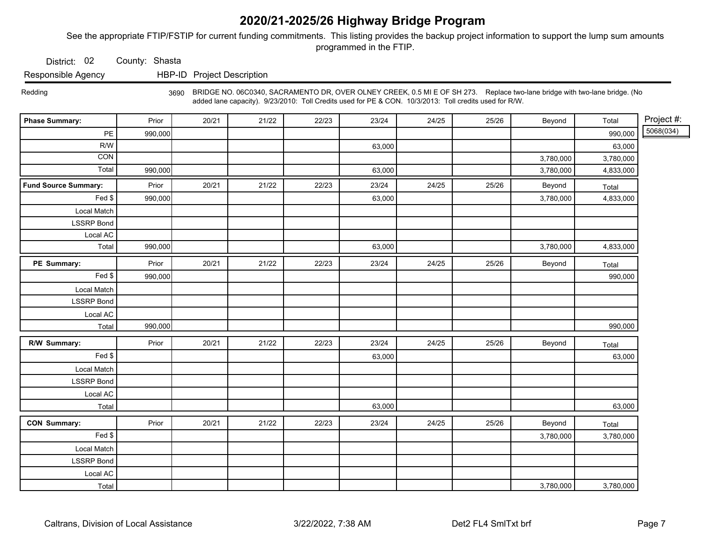See the appropriate FTIP/FSTIP for current funding commitments. This listing provides the backup project information to support the lump sum amounts programmed in the FTIP.

District: 02 County: Shasta

Responsible Agency HBP-ID Project Description

 Redding 3690 BRIDGE NO. 06C0340, SACRAMENTO DR, OVER OLNEY CREEK, 0.5 MI E OF SH 273. Replace two-lane bridge with two-lane bridge. (No added lane capacity). 9/23/2010: Toll Credits used for PE & CON. 10/3/2013: Toll credits used for R/W.

| <b>Phase Summary:</b>       | Prior   | 20/21 | 21/22 | 22/23 | 23/24  | 24/25 | 25/26 | Beyond    | Total     | Project #: |
|-----------------------------|---------|-------|-------|-------|--------|-------|-------|-----------|-----------|------------|
| $\mathsf{PE}$               | 990,000 |       |       |       |        |       |       |           | 990,000   | 5068(034)  |
| R/W                         |         |       |       |       | 63,000 |       |       |           | 63,000    |            |
| CON                         |         |       |       |       |        |       |       | 3,780,000 | 3,780,000 |            |
| Total                       | 990,000 |       |       |       | 63,000 |       |       | 3,780,000 | 4,833,000 |            |
| <b>Fund Source Summary:</b> | Prior   | 20/21 | 21/22 | 22/23 | 23/24  | 24/25 | 25/26 | Beyond    | Total     |            |
| Fed \$                      | 990,000 |       |       |       | 63,000 |       |       | 3,780,000 | 4,833,000 |            |
| Local Match                 |         |       |       |       |        |       |       |           |           |            |
| <b>LSSRP Bond</b>           |         |       |       |       |        |       |       |           |           |            |
| Local AC                    |         |       |       |       |        |       |       |           |           |            |
| Total                       | 990,000 |       |       |       | 63,000 |       |       | 3,780,000 | 4,833,000 |            |
| PE Summary:                 | Prior   | 20/21 | 21/22 | 22/23 | 23/24  | 24/25 | 25/26 | Beyond    | Total     |            |
| Fed                         | 990,000 |       |       |       |        |       |       |           | 990,000   |            |
| Local Match                 |         |       |       |       |        |       |       |           |           |            |
| <b>LSSRP Bond</b>           |         |       |       |       |        |       |       |           |           |            |
| Local AC                    |         |       |       |       |        |       |       |           |           |            |
| Total                       | 990,000 |       |       |       |        |       |       |           | 990,000   |            |
| R/W Summary:                | Prior   | 20/21 | 21/22 | 22/23 | 23/24  | 24/25 | 25/26 | Beyond    | Total     |            |
| Fed \$                      |         |       |       |       | 63,000 |       |       |           | 63,000    |            |
| Local Match                 |         |       |       |       |        |       |       |           |           |            |
| <b>LSSRP Bond</b>           |         |       |       |       |        |       |       |           |           |            |
| Local AC                    |         |       |       |       |        |       |       |           |           |            |
| Total                       |         |       |       |       | 63,000 |       |       |           | 63,000    |            |
| <b>CON Summary:</b>         | Prior   | 20/21 | 21/22 | 22/23 | 23/24  | 24/25 | 25/26 | Beyond    | Total     |            |
| Fed                         |         |       |       |       |        |       |       | 3,780,000 | 3,780,000 |            |
| Local Match                 |         |       |       |       |        |       |       |           |           |            |
| <b>LSSRP Bond</b>           |         |       |       |       |        |       |       |           |           |            |
| Local AC                    |         |       |       |       |        |       |       |           |           |            |
| Total                       |         |       |       |       |        |       |       | 3,780,000 | 3,780,000 |            |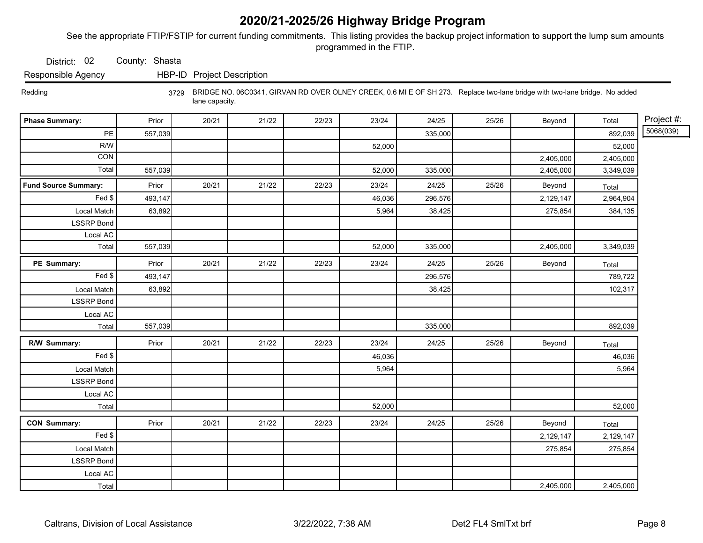See the appropriate FTIP/FSTIP for current funding commitments. This listing provides the backup project information to support the lump sum amounts programmed in the FTIP.

District: 02 County: Shasta

Responsible Agency HBP-ID Project Description

 Redding 3729 BRIDGE NO. 06C0341, GIRVAN RD OVER OLNEY CREEK, 0.6 MI E OF SH 273. Replace two-lane bridge with two-lane bridge. No added lane capacity.

| <b>Phase Summary:</b>       | Prior   | 20/21 | 21/22 | 22/23 | 23/24  | 24/25   | 25/26 | Beyond    | Total     | Project #: |
|-----------------------------|---------|-------|-------|-------|--------|---------|-------|-----------|-----------|------------|
| $\mathsf{PE}$               | 557,039 |       |       |       |        | 335,000 |       |           | 892,039   | 5068(039)  |
| R/W                         |         |       |       |       | 52,000 |         |       |           | 52,000    |            |
| CON                         |         |       |       |       |        |         |       | 2,405,000 | 2,405,000 |            |
| Total                       | 557,039 |       |       |       | 52,000 | 335,000 |       | 2,405,000 | 3,349,039 |            |
| <b>Fund Source Summary:</b> | Prior   | 20/21 | 21/22 | 22/23 | 23/24  | 24/25   | 25/26 | Beyond    | Total     |            |
| Fed \$                      | 493,147 |       |       |       | 46,036 | 296,576 |       | 2,129,147 | 2,964,904 |            |
| Local Match                 | 63,892  |       |       |       | 5,964  | 38,425  |       | 275,854   | 384,135   |            |
| <b>LSSRP</b> Bond           |         |       |       |       |        |         |       |           |           |            |
| Local AC                    |         |       |       |       |        |         |       |           |           |            |
| Total                       | 557,039 |       |       |       | 52,000 | 335,000 |       | 2,405,000 | 3,349,039 |            |
| PE Summary:                 | Prior   | 20/21 | 21/22 | 22/23 | 23/24  | 24/25   | 25/26 | Beyond    | Total     |            |
| Fed                         | 493,147 |       |       |       |        | 296,576 |       |           | 789,722   |            |
| Local Match                 | 63,892  |       |       |       |        | 38,425  |       |           | 102,317   |            |
| <b>LSSRP</b> Bond           |         |       |       |       |        |         |       |           |           |            |
| Local AC                    |         |       |       |       |        |         |       |           |           |            |
| Total                       | 557,039 |       |       |       |        | 335,000 |       |           | 892,039   |            |
| R/W Summary:                | Prior   | 20/21 | 21/22 | 22/23 | 23/24  | 24/25   | 25/26 | Beyond    | Total     |            |
| Fed \$                      |         |       |       |       | 46,036 |         |       |           | 46,036    |            |
| Local Match                 |         |       |       |       | 5,964  |         |       |           | 5,964     |            |
| <b>LSSRP</b> Bond           |         |       |       |       |        |         |       |           |           |            |
| Local AC                    |         |       |       |       |        |         |       |           |           |            |
| Total                       |         |       |       |       | 52,000 |         |       |           | 52,000    |            |
| <b>CON Summary:</b>         | Prior   | 20/21 | 21/22 | 22/23 | 23/24  | 24/25   | 25/26 | Beyond    | Total     |            |
| Fed \$                      |         |       |       |       |        |         |       | 2,129,147 | 2,129,147 |            |
| Local Match                 |         |       |       |       |        |         |       | 275,854   | 275,854   |            |
| <b>LSSRP Bond</b>           |         |       |       |       |        |         |       |           |           |            |
| Local AC                    |         |       |       |       |        |         |       |           |           |            |
| Total                       |         |       |       |       |        |         |       | 2,405,000 | 2,405,000 |            |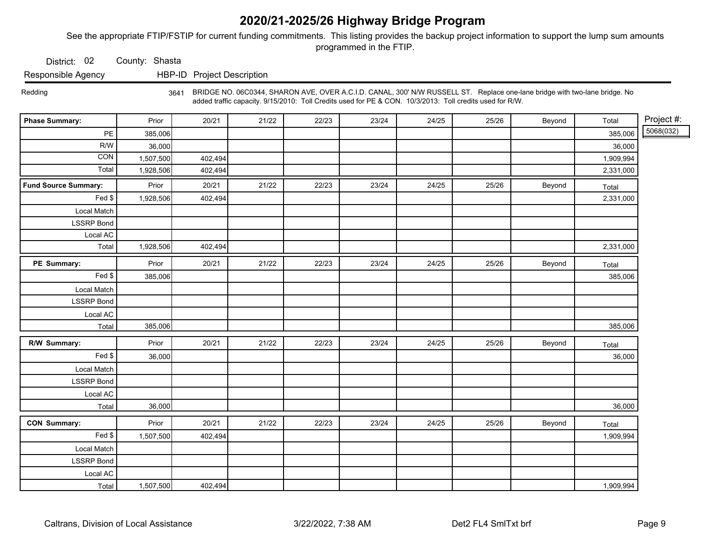See the appropriate FTIP/FSTIP for current funding commitments. This listing provides the backup project information to support the lump sum amounts programmed in the FTIP.

District: 02 County: Shasta

Responsible Agency HBP-ID Project Description

 Redding 3641 BRIDGE NO. 06C0344, SHARON AVE, OVER A.C.I.D. CANAL, 300' N/W RUSSELL ST. Replace one-lane bridge with two-lane bridge. No added traffic capacity. 9/15/2010: Toll Credits used for PE & CON. 10/3/2013: Toll credits used for R/W.

| <b>Phase Summary:</b>       | Prior     | 20/21   | 21/22 | 22/23 | 23/24 | 24/25 | 25/26 | Beyond | Total     | Project #: |
|-----------------------------|-----------|---------|-------|-------|-------|-------|-------|--------|-----------|------------|
| PE                          | 385,006   |         |       |       |       |       |       |        | 385,006   | 5068(032)  |
| R/W                         | 36,000    |         |       |       |       |       |       |        | 36,000    |            |
| CON                         | 1,507,500 | 402,494 |       |       |       |       |       |        | 1,909,994 |            |
| Total                       | 1,928,506 | 402,494 |       |       |       |       |       |        | 2,331,000 |            |
| <b>Fund Source Summary:</b> | Prior     | 20/21   | 21/22 | 22/23 | 23/24 | 24/25 | 25/26 | Beyond | Total     |            |
| Fed \$                      | 1,928,506 | 402,494 |       |       |       |       |       |        | 2,331,000 |            |
| Local Match                 |           |         |       |       |       |       |       |        |           |            |
| <b>LSSRP Bond</b>           |           |         |       |       |       |       |       |        |           |            |
| Local AC                    |           |         |       |       |       |       |       |        |           |            |
| Total                       | 1,928,506 | 402,494 |       |       |       |       |       |        | 2,331,000 |            |
| PE Summary:                 | Prior     | 20/21   | 21/22 | 22/23 | 23/24 | 24/25 | 25/26 | Beyond | Total     |            |
| Fed                         | 385,006   |         |       |       |       |       |       |        | 385,006   |            |
| Local Match                 |           |         |       |       |       |       |       |        |           |            |
| <b>LSSRP</b> Bond           |           |         |       |       |       |       |       |        |           |            |
| Local AC                    |           |         |       |       |       |       |       |        |           |            |
| Total                       | 385,006   |         |       |       |       |       |       |        | 385,006   |            |
| R/W Summary:                | Prior     | 20/21   | 21/22 | 22/23 | 23/24 | 24/25 | 25/26 | Beyond | Total     |            |
| Fed \$                      | 36,000    |         |       |       |       |       |       |        | 36,000    |            |
| Local Match                 |           |         |       |       |       |       |       |        |           |            |
| <b>LSSRP</b> Bond           |           |         |       |       |       |       |       |        |           |            |
| Local AC                    |           |         |       |       |       |       |       |        |           |            |
| Total                       | 36,000    |         |       |       |       |       |       |        | 36,000    |            |
| <b>CON Summary:</b>         | Prior     | 20/21   | 21/22 | 22/23 | 23/24 | 24/25 | 25/26 | Beyond | Total     |            |
| Fed                         | 1,507,500 | 402,494 |       |       |       |       |       |        | 1,909,994 |            |
| Local Match                 |           |         |       |       |       |       |       |        |           |            |
| <b>LSSRP Bond</b>           |           |         |       |       |       |       |       |        |           |            |
| Local AC                    |           |         |       |       |       |       |       |        |           |            |
| Total                       | 1,507,500 | 402,494 |       |       |       |       |       |        | 1,909,994 |            |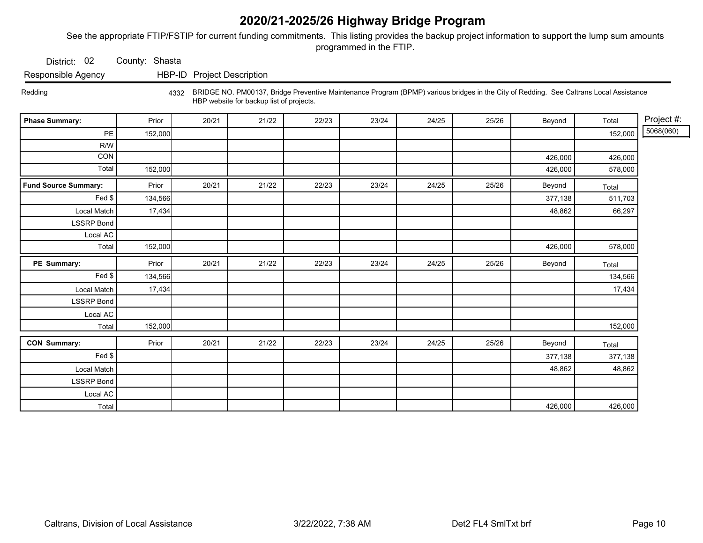See the appropriate FTIP/FSTIP for current funding commitments. This listing provides the backup project information to support the lump sum amounts programmed in the FTIP.

District: 02 County: Shasta

Responsible Agency HBP-ID Project Description

Redding 4332 BRIDGE NO. PM00137, Bridge Preventive Maintenance Program (BPMP) various bridges in the City of Redding. See Caltrans Local Assistance HBP website for backup list of projects.

| <b>Phase Summary:</b>       | Prior   | 20/21 | 21/22 | 22/23 | 23/24 | 24/25 | 25/26 | Beyond  | Total   | Project #: |
|-----------------------------|---------|-------|-------|-------|-------|-------|-------|---------|---------|------------|
| $\mathsf{PE}$               | 152,000 |       |       |       |       |       |       |         | 152,000 | 5068(060)  |
| R/W                         |         |       |       |       |       |       |       |         |         |            |
| CON                         |         |       |       |       |       |       |       | 426,000 | 426,000 |            |
| Total                       | 152,000 |       |       |       |       |       |       | 426,000 | 578,000 |            |
| <b>Fund Source Summary:</b> | Prior   | 20/21 | 21/22 | 22/23 | 23/24 | 24/25 | 25/26 | Beyond  | Total   |            |
| Fed \$                      | 134,566 |       |       |       |       |       |       | 377,138 | 511,703 |            |
| Local Match                 | 17,434  |       |       |       |       |       |       | 48,862  | 66,297  |            |
| <b>LSSRP Bond</b>           |         |       |       |       |       |       |       |         |         |            |
| Local AC                    |         |       |       |       |       |       |       |         |         |            |
| Total                       | 152,000 |       |       |       |       |       |       | 426,000 | 578,000 |            |
| PE Summary:                 | Prior   | 20/21 | 21/22 | 22/23 | 23/24 | 24/25 | 25/26 | Beyond  | Total   |            |
| Fed \$                      | 134,566 |       |       |       |       |       |       |         | 134,566 |            |
| Local Match                 | 17,434  |       |       |       |       |       |       |         | 17,434  |            |
| <b>LSSRP</b> Bond           |         |       |       |       |       |       |       |         |         |            |
| Local AC                    |         |       |       |       |       |       |       |         |         |            |
| Total                       | 152,000 |       |       |       |       |       |       |         | 152,000 |            |
| <b>CON Summary:</b>         | Prior   | 20/21 | 21/22 | 22/23 | 23/24 | 24/25 | 25/26 | Beyond  | Total   |            |
| Fed \$                      |         |       |       |       |       |       |       | 377,138 | 377,138 |            |
| Local Match                 |         |       |       |       |       |       |       | 48,862  | 48,862  |            |
| <b>LSSRP Bond</b>           |         |       |       |       |       |       |       |         |         |            |
| Local AC                    |         |       |       |       |       |       |       |         |         |            |
| Total                       |         |       |       |       |       |       |       | 426,000 | 426,000 |            |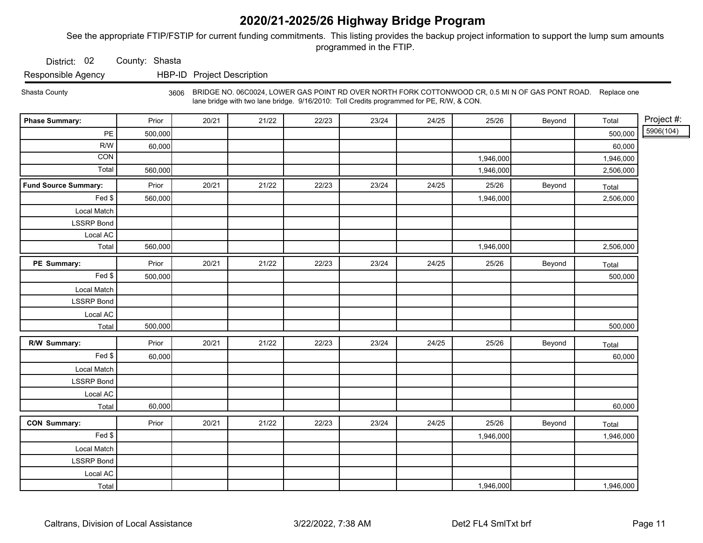See the appropriate FTIP/FSTIP for current funding commitments. This listing provides the backup project information to support the lump sum amounts programmed in the FTIP.

District: 02 County: Shasta

Responsible Agency HBP-ID Project Description

Shasta County <sub>3606</sub> BRIDGE NO. 06C0024, LOWER GAS POINT RD OVER NORTH FORK COTTONWOOD CR, 0.5 MI N OF GAS PONT ROAD. Replace one lane bridge with two lane bridge. 9/16/2010: Toll Credits programmed for PE, R/W, & CON.

| <b>Phase Summary:</b>       | Prior   | 20/21 | 21/22 | 22/23 | 23/24 | 24/25 | 25/26     | Beyond | Total     | Project #: |
|-----------------------------|---------|-------|-------|-------|-------|-------|-----------|--------|-----------|------------|
| PE                          | 500,000 |       |       |       |       |       |           |        | 500,000   | 5906(104)  |
| R/W                         | 60,000  |       |       |       |       |       |           |        | 60,000    |            |
| CON                         |         |       |       |       |       |       | 1,946,000 |        | 1,946,000 |            |
| Total                       | 560,000 |       |       |       |       |       | 1,946,000 |        | 2,506,000 |            |
| <b>Fund Source Summary:</b> | Prior   | 20/21 | 21/22 | 22/23 | 23/24 | 24/25 | 25/26     | Beyond | Total     |            |
| Fed \$                      | 560,000 |       |       |       |       |       | 1,946,000 |        | 2,506,000 |            |
| Local Match                 |         |       |       |       |       |       |           |        |           |            |
| <b>LSSRP Bond</b>           |         |       |       |       |       |       |           |        |           |            |
| Local AC                    |         |       |       |       |       |       |           |        |           |            |
| Total                       | 560,000 |       |       |       |       |       | 1,946,000 |        | 2,506,000 |            |
| PE Summary:                 | Prior   | 20/21 | 21/22 | 22/23 | 23/24 | 24/25 | 25/26     | Beyond | Total     |            |
| $\overline{Fe}d$ \$         | 500,000 |       |       |       |       |       |           |        | 500,000   |            |
| Local Match                 |         |       |       |       |       |       |           |        |           |            |
| <b>LSSRP</b> Bond           |         |       |       |       |       |       |           |        |           |            |
| Local AC                    |         |       |       |       |       |       |           |        |           |            |
| Total                       | 500,000 |       |       |       |       |       |           |        | 500,000   |            |
| R/W Summary:                | Prior   | 20/21 | 21/22 | 22/23 | 23/24 | 24/25 | 25/26     | Beyond | Total     |            |
| Fed                         | 60,000  |       |       |       |       |       |           |        | 60,000    |            |
| Local Match                 |         |       |       |       |       |       |           |        |           |            |
| <b>LSSRP</b> Bond           |         |       |       |       |       |       |           |        |           |            |
| Local AC                    |         |       |       |       |       |       |           |        |           |            |
| Total                       | 60,000  |       |       |       |       |       |           |        | 60,000    |            |
| <b>CON Summary:</b>         | Prior   | 20/21 | 21/22 | 22/23 | 23/24 | 24/25 | 25/26     | Beyond | Total     |            |
| Fed                         |         |       |       |       |       |       | 1,946,000 |        | 1,946,000 |            |
| Local Match                 |         |       |       |       |       |       |           |        |           |            |
| <b>LSSRP Bond</b>           |         |       |       |       |       |       |           |        |           |            |
| Local AC                    |         |       |       |       |       |       |           |        |           |            |
| Total                       |         |       |       |       |       |       | 1,946,000 |        | 1,946,000 |            |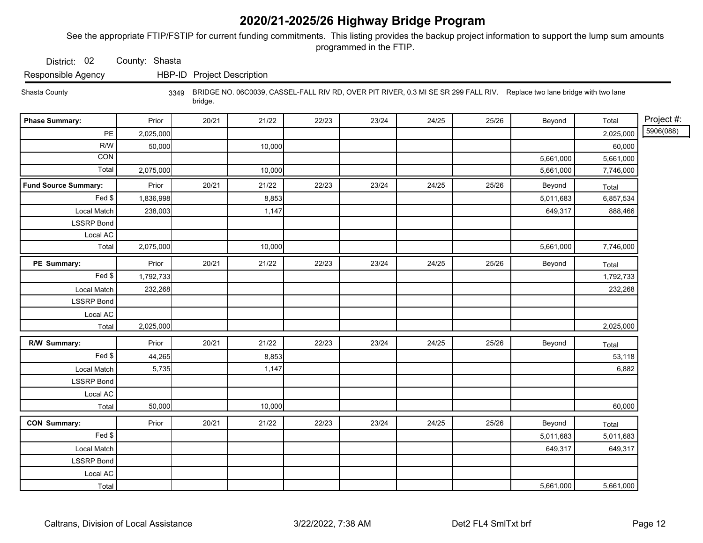See the appropriate FTIP/FSTIP for current funding commitments. This listing provides the backup project information to support the lump sum amounts programmed in the FTIP.

District: 02 County: Shasta

Responsible Agency HBP-ID Project Description

 Shasta County 3349 BRIDGE NO. 06C0039, CASSEL-FALL RIV RD, OVER PIT RIVER, 0.3 MI SE SR 299 FALL RIV. Replace two lane bridge with two lane bridge.

| <b>Phase Summary:</b>       | Prior     | 20/21 | 21/22  | 22/23 | 23/24 | 24/25 | 25/26 | Beyond    | Total     | Project #: |
|-----------------------------|-----------|-------|--------|-------|-------|-------|-------|-----------|-----------|------------|
| PE                          | 2,025,000 |       |        |       |       |       |       |           | 2,025,000 | 5906(088)  |
| R/W                         | 50,000    |       | 10,000 |       |       |       |       |           | 60,000    |            |
| <b>CON</b>                  |           |       |        |       |       |       |       | 5,661,000 | 5,661,000 |            |
| Total                       | 2,075,000 |       | 10,000 |       |       |       |       | 5,661,000 | 7,746,000 |            |
| <b>Fund Source Summary:</b> | Prior     | 20/21 | 21/22  | 22/23 | 23/24 | 24/25 | 25/26 | Beyond    | Total     |            |
| Fed \$                      | 1,836,998 |       | 8,853  |       |       |       |       | 5,011,683 | 6,857,534 |            |
| Local Match                 | 238,003   |       | 1,147  |       |       |       |       | 649,317   | 888,466   |            |
| <b>LSSRP</b> Bond           |           |       |        |       |       |       |       |           |           |            |
| Local AC                    |           |       |        |       |       |       |       |           |           |            |
| Total                       | 2,075,000 |       | 10,000 |       |       |       |       | 5,661,000 | 7,746,000 |            |
| PE Summary:                 | Prior     | 20/21 | 21/22  | 22/23 | 23/24 | 24/25 | 25/26 | Beyond    | Total     |            |
| Fed                         | 1,792,733 |       |        |       |       |       |       |           | 1,792,733 |            |
| Local Match                 | 232,268   |       |        |       |       |       |       |           | 232,268   |            |
| <b>LSSRP</b> Bond           |           |       |        |       |       |       |       |           |           |            |
| Local AC                    |           |       |        |       |       |       |       |           |           |            |
| Total                       | 2,025,000 |       |        |       |       |       |       |           | 2,025,000 |            |
| R/W Summary:                | Prior     | 20/21 | 21/22  | 22/23 | 23/24 | 24/25 | 25/26 | Beyond    | Total     |            |
| Fed                         | 44,265    |       | 8,853  |       |       |       |       |           | 53,118    |            |
| Local Match                 | 5,735     |       | 1,147  |       |       |       |       |           | 6,882     |            |
| <b>LSSRP</b> Bond           |           |       |        |       |       |       |       |           |           |            |
| Local AC                    |           |       |        |       |       |       |       |           |           |            |
| Total                       | 50,000    |       | 10,000 |       |       |       |       |           | 60,000    |            |
| <b>CON Summary:</b>         | Prior     | 20/21 | 21/22  | 22/23 | 23/24 | 24/25 | 25/26 | Beyond    | Total     |            |
| Fed                         |           |       |        |       |       |       |       | 5,011,683 | 5,011,683 |            |
| Local Match                 |           |       |        |       |       |       |       | 649,317   | 649,317   |            |
| <b>LSSRP</b> Bond           |           |       |        |       |       |       |       |           |           |            |
| Local AC                    |           |       |        |       |       |       |       |           |           |            |
| Total                       |           |       |        |       |       |       |       | 5,661,000 | 5,661,000 |            |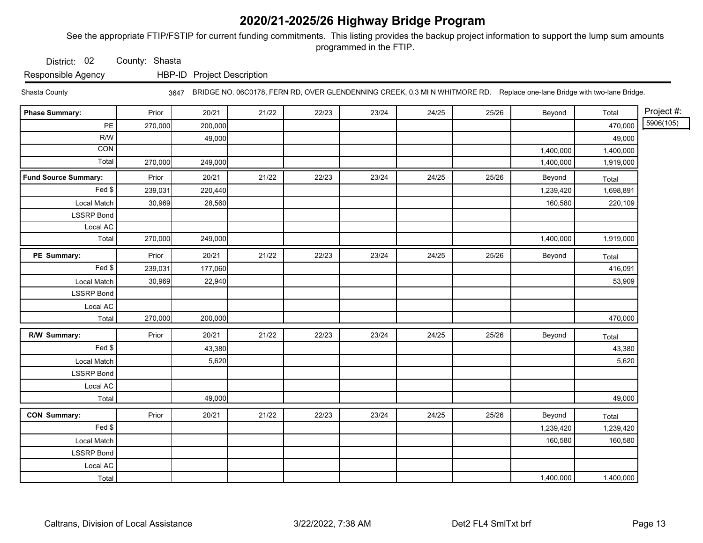See the appropriate FTIP/FSTIP for current funding commitments. This listing provides the backup project information to support the lump sum amounts programmed in the FTIP.

District: 02 County: Shasta

Responsible Agency HBP-ID Project Description

Shasta County 3647 BRIDGE NO. 06C0178, FERN RD, OVER GLENDENNING CREEK, 0.3 MI N WHITMORE RD. Replace one-lane Bridge with two-lane Bridge.

| <b>Phase Summary:</b>       | Prior   | 20/21   | 21/22 | 22/23 | 23/24 | 24/25 | 25/26 | Beyond    | Total     | Project #: |
|-----------------------------|---------|---------|-------|-------|-------|-------|-------|-----------|-----------|------------|
| PE                          | 270,000 | 200,000 |       |       |       |       |       |           | 470,000   | 5906(105)  |
| R/W                         |         | 49,000  |       |       |       |       |       |           | 49,000    |            |
| $\overline{CON}$            |         |         |       |       |       |       |       | 1,400,000 | 1,400,000 |            |
| Total                       | 270,000 | 249,000 |       |       |       |       |       | 1,400,000 | 1,919,000 |            |
| <b>Fund Source Summary:</b> | Prior   | 20/21   | 21/22 | 22/23 | 23/24 | 24/25 | 25/26 | Beyond    | Total     |            |
| Fed \$                      | 239,031 | 220,440 |       |       |       |       |       | 1,239,420 | 1,698,891 |            |
| Local Match                 | 30,969  | 28,560  |       |       |       |       |       | 160,580   | 220,109   |            |
| <b>LSSRP Bond</b>           |         |         |       |       |       |       |       |           |           |            |
| Local AC                    |         |         |       |       |       |       |       |           |           |            |
| Total                       | 270,000 | 249,000 |       |       |       |       |       | 1,400,000 | 1,919,000 |            |
| PE Summary:                 | Prior   | 20/21   | 21/22 | 22/23 | 23/24 | 24/25 | 25/26 | Beyond    | Total     |            |
| Fed \$                      | 239,031 | 177,060 |       |       |       |       |       |           | 416,091   |            |
| Local Match                 | 30,969  | 22,940  |       |       |       |       |       |           | 53,909    |            |
| <b>LSSRP</b> Bond           |         |         |       |       |       |       |       |           |           |            |
| Local AC                    |         |         |       |       |       |       |       |           |           |            |
| Total                       | 270,000 | 200,000 |       |       |       |       |       |           | 470,000   |            |
| R/W Summary:                | Prior   | 20/21   | 21/22 | 22/23 | 23/24 | 24/25 | 25/26 | Beyond    | Total     |            |
| Fed                         |         | 43,380  |       |       |       |       |       |           | 43,380    |            |
| Local Match                 |         | 5,620   |       |       |       |       |       |           | 5,620     |            |
| <b>LSSRP</b> Bond           |         |         |       |       |       |       |       |           |           |            |
| Local AC                    |         |         |       |       |       |       |       |           |           |            |
| Total                       |         | 49,000  |       |       |       |       |       |           | 49,000    |            |
| <b>CON Summary:</b>         | Prior   | 20/21   | 21/22 | 22/23 | 23/24 | 24/25 | 25/26 | Beyond    | Total     |            |
| Fed                         |         |         |       |       |       |       |       | 1,239,420 | 1,239,420 |            |
| Local Match                 |         |         |       |       |       |       |       | 160,580   | 160,580   |            |
| <b>LSSRP Bond</b>           |         |         |       |       |       |       |       |           |           |            |
| Local AC                    |         |         |       |       |       |       |       |           |           |            |
| Total                       |         |         |       |       |       |       |       | 1,400,000 | 1,400,000 |            |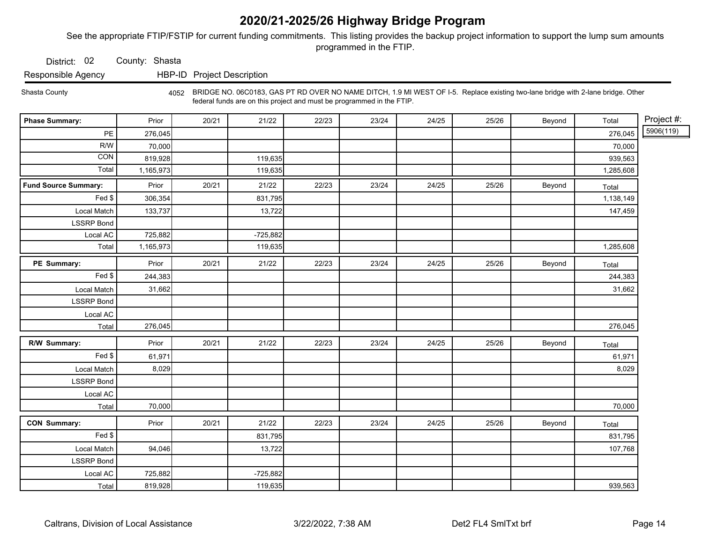See the appropriate FTIP/FSTIP for current funding commitments. This listing provides the backup project information to support the lump sum amounts programmed in the FTIP.

District: 02 County: Shasta

Responsible Agency HBP-ID Project Description

Shasta County 4052 BRIDGE NO. 06C0183, GAS PT RD OVER NO NAME DITCH, 1.9 MI WEST OF I-5. Replace existing two-lane bridge with 2-lane bridge. Other federal funds are on this project and must be programmed in the FTIP.

| <b>Phase Summary:</b>       | Prior     | 20/21 | 21/22      | 22/23 | 23/24 | 24/25 | 25/26 | Beyond | Total     | Project #: |
|-----------------------------|-----------|-------|------------|-------|-------|-------|-------|--------|-----------|------------|
| PE                          | 276,045   |       |            |       |       |       |       |        | 276,045   | 5906(119)  |
| R/W                         | 70,000    |       |            |       |       |       |       |        | 70,000    |            |
| CON                         | 819,928   |       | 119,635    |       |       |       |       |        | 939,563   |            |
| Total                       | 1,165,973 |       | 119,635    |       |       |       |       |        | 1,285,608 |            |
| <b>Fund Source Summary:</b> | Prior     | 20/21 | 21/22      | 22/23 | 23/24 | 24/25 | 25/26 | Beyond | Total     |            |
| Fed \$                      | 306,354   |       | 831,795    |       |       |       |       |        | 1,138,149 |            |
| Local Match                 | 133,737   |       | 13,722     |       |       |       |       |        | 147,459   |            |
| <b>LSSRP Bond</b>           |           |       |            |       |       |       |       |        |           |            |
| Local AC                    | 725,882   |       | $-725,882$ |       |       |       |       |        |           |            |
| Total                       | 1,165,973 |       | 119,635    |       |       |       |       |        | 1,285,608 |            |
| PE Summary:                 | Prior     | 20/21 | 21/22      | 22/23 | 23/24 | 24/25 | 25/26 | Beyond | Total     |            |
| Fed \$                      | 244,383   |       |            |       |       |       |       |        | 244,383   |            |
| Local Match                 | 31,662    |       |            |       |       |       |       |        | 31,662    |            |
| <b>LSSRP Bond</b>           |           |       |            |       |       |       |       |        |           |            |
| Local AC                    |           |       |            |       |       |       |       |        |           |            |
| Total                       | 276,045   |       |            |       |       |       |       |        | 276,045   |            |
| R/W Summary:                | Prior     | 20/21 | 21/22      | 22/23 | 23/24 | 24/25 | 25/26 | Beyond | Total     |            |
| Fed                         | 61,971    |       |            |       |       |       |       |        | 61,971    |            |
| Local Match                 | 8,029     |       |            |       |       |       |       |        | 8,029     |            |
| <b>LSSRP Bond</b>           |           |       |            |       |       |       |       |        |           |            |
| Local AC                    |           |       |            |       |       |       |       |        |           |            |
| Total                       | 70,000    |       |            |       |       |       |       |        | 70,000    |            |
| <b>CON Summary:</b>         | Prior     | 20/21 | 21/22      | 22/23 | 23/24 | 24/25 | 25/26 | Beyond | Total     |            |
| Fed \$                      |           |       | 831,795    |       |       |       |       |        | 831,795   |            |
| Local Match                 | 94,046    |       | 13,722     |       |       |       |       |        | 107,768   |            |
| <b>LSSRP Bond</b>           |           |       |            |       |       |       |       |        |           |            |
| Local AC                    | 725,882   |       | $-725,882$ |       |       |       |       |        |           |            |
| Total                       | 819,928   |       | 119,635    |       |       |       |       |        | 939,563   |            |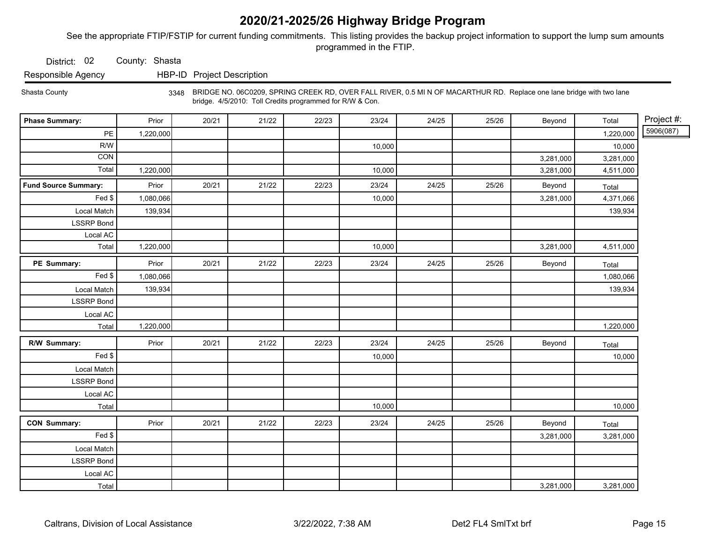See the appropriate FTIP/FSTIP for current funding commitments. This listing provides the backup project information to support the lump sum amounts programmed in the FTIP.

District: 02 County: Shasta

Responsible Agency HBP-ID Project Description

Shasta County

 bridge. 4/5/2010: Toll Credits programmed for R/W & Con. 3348 BRIDGE NO. 06C0209, SPRING CREEK RD, OVER FALL RIVER, 0.5 MI N OF MACARTHUR RD. Replace one lane bridge with two lane

| <b>Phase Summary:</b>       | Prior     | 20/21 | 21/22 | 22/23 | 23/24  | 24/25 | 25/26 | Beyond    | Total     | Project #: |
|-----------------------------|-----------|-------|-------|-------|--------|-------|-------|-----------|-----------|------------|
| PE                          | 1,220,000 |       |       |       |        |       |       |           | 1,220,000 | 5906(087)  |
| R/W                         |           |       |       |       | 10,000 |       |       |           | 10,000    |            |
| <b>CON</b>                  |           |       |       |       |        |       |       | 3,281,000 | 3,281,000 |            |
| Total                       | 1,220,000 |       |       |       | 10,000 |       |       | 3,281,000 | 4,511,000 |            |
| <b>Fund Source Summary:</b> | Prior     | 20/21 | 21/22 | 22/23 | 23/24  | 24/25 | 25/26 | Beyond    | Total     |            |
| Fed                         | 1,080,066 |       |       |       | 10,000 |       |       | 3,281,000 | 4,371,066 |            |
| Local Match                 | 139,934   |       |       |       |        |       |       |           | 139,934   |            |
| <b>LSSRP</b> Bond           |           |       |       |       |        |       |       |           |           |            |
| Local AC                    |           |       |       |       |        |       |       |           |           |            |
| Total                       | 1,220,000 |       |       |       | 10,000 |       |       | 3,281,000 | 4,511,000 |            |
| PE Summary:                 | Prior     | 20/21 | 21/22 | 22/23 | 23/24  | 24/25 | 25/26 | Beyond    | Total     |            |
| Fed                         | 1,080,066 |       |       |       |        |       |       |           | 1,080,066 |            |
| Local Match                 | 139,934   |       |       |       |        |       |       |           | 139,934   |            |
| <b>LSSRP</b> Bond           |           |       |       |       |        |       |       |           |           |            |
| Local AC                    |           |       |       |       |        |       |       |           |           |            |
| Total                       | 1,220,000 |       |       |       |        |       |       |           | 1,220,000 |            |
| R/W Summary:                | Prior     | 20/21 | 21/22 | 22/23 | 23/24  | 24/25 | 25/26 | Beyond    | Total     |            |
| Fed                         |           |       |       |       | 10,000 |       |       |           | 10,000    |            |
| Local Match                 |           |       |       |       |        |       |       |           |           |            |
| <b>LSSRP Bond</b>           |           |       |       |       |        |       |       |           |           |            |
| Local AC                    |           |       |       |       |        |       |       |           |           |            |
| <b>Total</b>                |           |       |       |       | 10,000 |       |       |           | 10,000    |            |
| <b>CON Summary:</b>         | Prior     | 20/21 | 21/22 | 22/23 | 23/24  | 24/25 | 25/26 | Beyond    | Total     |            |
| Fed $\frac{1}{2}$           |           |       |       |       |        |       |       | 3,281,000 | 3,281,000 |            |
| Local Match                 |           |       |       |       |        |       |       |           |           |            |
| <b>LSSRP Bond</b>           |           |       |       |       |        |       |       |           |           |            |
| Local AC                    |           |       |       |       |        |       |       |           |           |            |
| Total                       |           |       |       |       |        |       |       | 3,281,000 | 3,281,000 |            |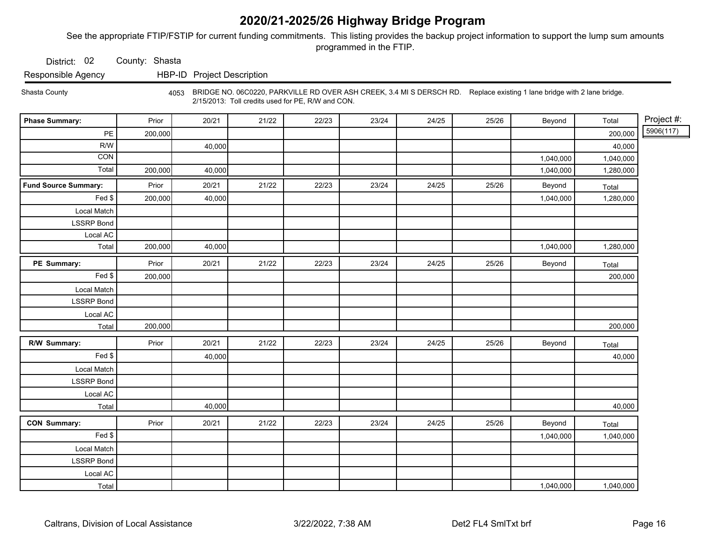See the appropriate FTIP/FSTIP for current funding commitments. This listing provides the backup project information to support the lump sum amounts programmed in the FTIP.

District: 02 County: Shasta

Responsible Agency HBP-ID Project Description

Shasta County 4053 BRIDGE NO. 06C0220, PARKVILLE RD OVER ASH CREEK, 3.4 MI S DERSCH RD. Replace existing 1 lane bridge with 2 lane bridge. 2/15/2013: Toll credits used for PE, R/W and CON.

| <b>Phase Summary:</b>       | Prior   | 20/21  | 21/22 | 22/23 | 23/24 | 24/25 | 25/26 | Beyond    | Total     | Project #: |
|-----------------------------|---------|--------|-------|-------|-------|-------|-------|-----------|-----------|------------|
| PE                          | 200,000 |        |       |       |       |       |       |           | 200,000   | 5906(117)  |
| R/W                         |         | 40,000 |       |       |       |       |       |           | 40,000    |            |
| $\overline{CON}$            |         |        |       |       |       |       |       | 1,040,000 | 1,040,000 |            |
| Total                       | 200,000 | 40,000 |       |       |       |       |       | 1,040,000 | 1,280,000 |            |
| <b>Fund Source Summary:</b> | Prior   | 20/21  | 21/22 | 22/23 | 23/24 | 24/25 | 25/26 | Beyond    | Total     |            |
| Fed \$                      | 200,000 | 40,000 |       |       |       |       |       | 1,040,000 | 1,280,000 |            |
| Local Match                 |         |        |       |       |       |       |       |           |           |            |
| <b>LSSRP</b> Bond           |         |        |       |       |       |       |       |           |           |            |
| Local AC                    |         |        |       |       |       |       |       |           |           |            |
| Total                       | 200,000 | 40,000 |       |       |       |       |       | 1,040,000 | 1,280,000 |            |
| PE Summary:                 | Prior   | 20/21  | 21/22 | 22/23 | 23/24 | 24/25 | 25/26 | Beyond    | Total     |            |
| Fed                         | 200,000 |        |       |       |       |       |       |           | 200,000   |            |
| Local Match                 |         |        |       |       |       |       |       |           |           |            |
| <b>LSSRP</b> Bond           |         |        |       |       |       |       |       |           |           |            |
| Local AC                    |         |        |       |       |       |       |       |           |           |            |
| Total                       | 200,000 |        |       |       |       |       |       |           | 200,000   |            |
| R/W Summary:                | Prior   | 20/21  | 21/22 | 22/23 | 23/24 | 24/25 | 25/26 | Beyond    | Total     |            |
| Fed                         |         | 40,000 |       |       |       |       |       |           | 40,000    |            |
| Local Match                 |         |        |       |       |       |       |       |           |           |            |
| <b>LSSRP Bond</b>           |         |        |       |       |       |       |       |           |           |            |
| Local AC                    |         |        |       |       |       |       |       |           |           |            |
| Total                       |         | 40,000 |       |       |       |       |       |           | 40,000    |            |
| <b>CON Summary:</b>         | Prior   | 20/21  | 21/22 | 22/23 | 23/24 | 24/25 | 25/26 | Beyond    | Total     |            |
| Fed                         |         |        |       |       |       |       |       | 1,040,000 | 1,040,000 |            |
| Local Match                 |         |        |       |       |       |       |       |           |           |            |
| LSSRP Bond                  |         |        |       |       |       |       |       |           |           |            |
| Local AC                    |         |        |       |       |       |       |       |           |           |            |
| Total                       |         |        |       |       |       |       |       | 1,040,000 | 1,040,000 |            |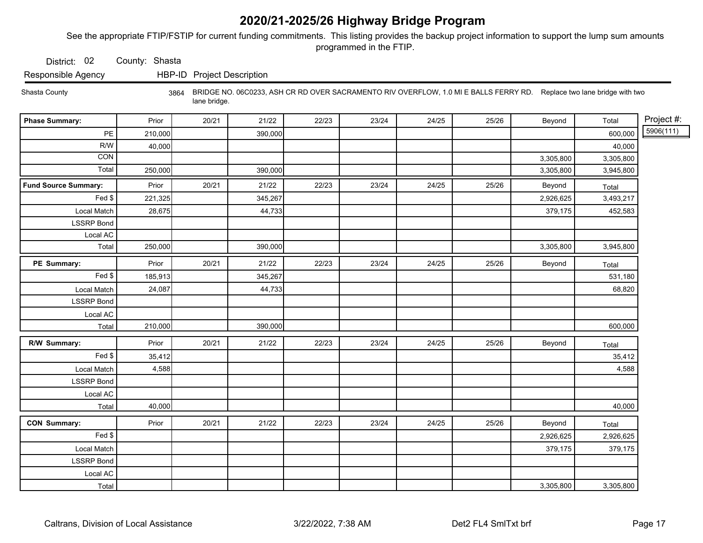See the appropriate FTIP/FSTIP for current funding commitments. This listing provides the backup project information to support the lump sum amounts programmed in the FTIP.

District: 02 County: Shasta

Responsible Agency HBP-ID Project Description

Shasta County 3864 BRIDGE NO. 06C0233, ASH CR RD OVER SACRAMENTO RIV OVERFLOW, 1.0 MI E BALLS FERRY RD. Replace two lane bridge with two lane bridge.

| <b>Phase Summary:</b>       | Prior   | 20/21 | 21/22   | 22/23 | 23/24 | 24/25 | 25/26 | Beyond    | Total     | Project #: |
|-----------------------------|---------|-------|---------|-------|-------|-------|-------|-----------|-----------|------------|
| PE                          | 210,000 |       | 390,000 |       |       |       |       |           | 600,000   | 5906(111)  |
| R/W                         | 40,000  |       |         |       |       |       |       |           | 40,000    |            |
| CON                         |         |       |         |       |       |       |       | 3,305,800 | 3,305,800 |            |
| Total                       | 250,000 |       | 390,000 |       |       |       |       | 3,305,800 | 3,945,800 |            |
| <b>Fund Source Summary:</b> | Prior   | 20/21 | 21/22   | 22/23 | 23/24 | 24/25 | 25/26 | Beyond    | Total     |            |
| Fed \$                      | 221,325 |       | 345,267 |       |       |       |       | 2,926,625 | 3,493,217 |            |
| Local Match                 | 28,675  |       | 44,733  |       |       |       |       | 379,175   | 452,583   |            |
| <b>LSSRP</b> Bond           |         |       |         |       |       |       |       |           |           |            |
| Local AC                    |         |       |         |       |       |       |       |           |           |            |
| Total                       | 250,000 |       | 390,000 |       |       |       |       | 3,305,800 | 3,945,800 |            |
| PE Summary:                 | Prior   | 20/21 | 21/22   | 22/23 | 23/24 | 24/25 | 25/26 | Beyond    | Total     |            |
| Fed \$                      | 185,913 |       | 345,267 |       |       |       |       |           | 531,180   |            |
| Local Match                 | 24,087  |       | 44,733  |       |       |       |       |           | 68,820    |            |
| <b>LSSRP</b> Bond           |         |       |         |       |       |       |       |           |           |            |
| Local AC                    |         |       |         |       |       |       |       |           |           |            |
| Total                       | 210,000 |       | 390,000 |       |       |       |       |           | 600,000   |            |
| R/W Summary:                | Prior   | 20/21 | 21/22   | 22/23 | 23/24 | 24/25 | 25/26 | Beyond    | Total     |            |
| Fed \$                      | 35,412  |       |         |       |       |       |       |           | 35,412    |            |
| Local Match                 | 4,588   |       |         |       |       |       |       |           | 4,588     |            |
| <b>LSSRP Bond</b>           |         |       |         |       |       |       |       |           |           |            |
| Local AC                    |         |       |         |       |       |       |       |           |           |            |
| Total                       | 40,000  |       |         |       |       |       |       |           | 40,000    |            |
| <b>CON Summary:</b>         | Prior   | 20/21 | 21/22   | 22/23 | 23/24 | 24/25 | 25/26 | Beyond    | Total     |            |
| Fed \$                      |         |       |         |       |       |       |       | 2,926,625 | 2,926,625 |            |
| Local Match                 |         |       |         |       |       |       |       | 379,175   | 379,175   |            |
| <b>LSSRP Bond</b>           |         |       |         |       |       |       |       |           |           |            |
| Local AC                    |         |       |         |       |       |       |       |           |           |            |
| Total                       |         |       |         |       |       |       |       | 3,305,800 | 3,305,800 |            |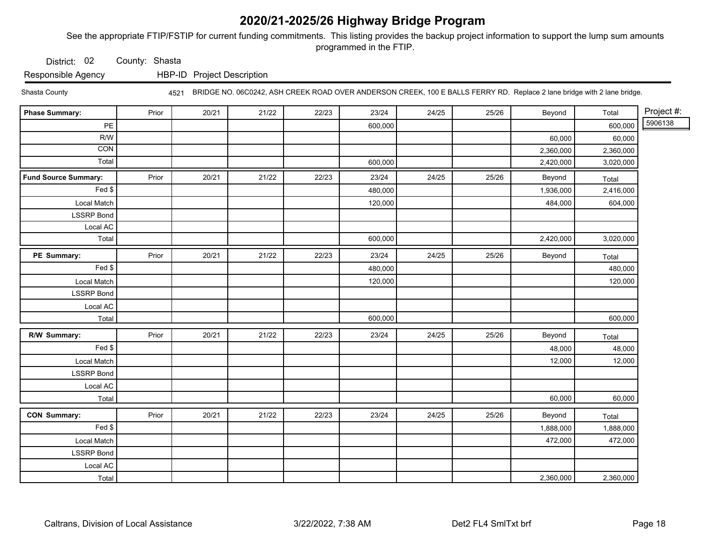See the appropriate FTIP/FSTIP for current funding commitments. This listing provides the backup project information to support the lump sum amounts programmed in the FTIP.

District: 02 County: Shasta

Responsible Agency HBP-ID Project Description

Shasta County

4521 BRIDGE NO. 06C0242, ASH CREEK ROAD OVER ANDERSON CREEK, 100 E BALLS FERRY RD. Replace 2 lane bridge with 2 lane bridge.

| <b>Phase Summary:</b>       | Prior | 20/21 | 21/22 | 22/23 | 23/24   | 24/25 | 25/26 | Beyond    | Total     | Project #: |
|-----------------------------|-------|-------|-------|-------|---------|-------|-------|-----------|-----------|------------|
| $\mathsf{PE}$               |       |       |       |       | 600,000 |       |       |           | 600,000   | 5906138    |
| R/W                         |       |       |       |       |         |       |       | 60,000    | 60,000    |            |
| $\overline{CON}$            |       |       |       |       |         |       |       | 2,360,000 | 2,360,000 |            |
| Total                       |       |       |       |       | 600,000 |       |       | 2,420,000 | 3,020,000 |            |
| <b>Fund Source Summary:</b> | Prior | 20/21 | 21/22 | 22/23 | 23/24   | 24/25 | 25/26 | Beyond    | Total     |            |
| Fed \$                      |       |       |       |       | 480,000 |       |       | 1,936,000 | 2,416,000 |            |
| Local Match                 |       |       |       |       | 120,000 |       |       | 484,000   | 604,000   |            |
| <b>LSSRP</b> Bond           |       |       |       |       |         |       |       |           |           |            |
| Local AC                    |       |       |       |       |         |       |       |           |           |            |
| Total                       |       |       |       |       | 600,000 |       |       | 2,420,000 | 3,020,000 |            |
| PE Summary:                 | Prior | 20/21 | 21/22 | 22/23 | 23/24   | 24/25 | 25/26 | Beyond    | Total     |            |
| Fed \$                      |       |       |       |       | 480,000 |       |       |           | 480,000   |            |
| Local Match                 |       |       |       |       | 120,000 |       |       |           | 120,000   |            |
| <b>LSSRP Bond</b>           |       |       |       |       |         |       |       |           |           |            |
| Local AC                    |       |       |       |       |         |       |       |           |           |            |
| Total                       |       |       |       |       | 600,000 |       |       |           | 600,000   |            |
| R/W Summary:                | Prior | 20/21 | 21/22 | 22/23 | 23/24   | 24/25 | 25/26 | Beyond    | Total     |            |
| Fed                         |       |       |       |       |         |       |       | 48,000    | 48,000    |            |
| Local Match                 |       |       |       |       |         |       |       | 12,000    | 12,000    |            |
| <b>LSSRP Bond</b>           |       |       |       |       |         |       |       |           |           |            |
| Local AC                    |       |       |       |       |         |       |       |           |           |            |
| Total                       |       |       |       |       |         |       |       | 60,000    | 60,000    |            |
| <b>CON Summary:</b>         | Prior | 20/21 | 21/22 | 22/23 | 23/24   | 24/25 | 25/26 | Beyond    | Total     |            |
| Fed                         |       |       |       |       |         |       |       | 1,888,000 | 1,888,000 |            |
| Local Match                 |       |       |       |       |         |       |       | 472,000   | 472,000   |            |
| <b>LSSRP Bond</b>           |       |       |       |       |         |       |       |           |           |            |
| Local AC                    |       |       |       |       |         |       |       |           |           |            |
| Total                       |       |       |       |       |         |       |       | 2,360,000 | 2,360,000 |            |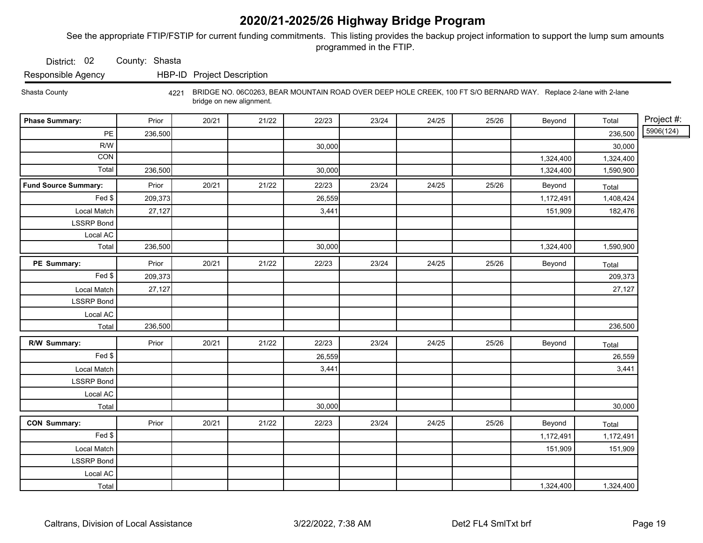See the appropriate FTIP/FSTIP for current funding commitments. This listing provides the backup project information to support the lump sum amounts programmed in the FTIP.

District: 02 County: Shasta

Responsible Agency HBP-ID Project Description

Shasta County 4221 BRIDGE NO. 06C0263, BEAR MOUNTAIN ROAD OVER DEEP HOLE CREEK, 100 FT S/O BERNARD WAY. Replace 2-lane with 2-lane bridge on new alignment.

| <b>Phase Summary:</b>       | Prior   | 20/21 | 21/22 | 22/23  | 23/24 | 24/25 | 25/26 | Beyond    | Total     | Project #: |
|-----------------------------|---------|-------|-------|--------|-------|-------|-------|-----------|-----------|------------|
| $\mathsf{PE}$               | 236,500 |       |       |        |       |       |       |           | 236,500   | 5906(124)  |
| R/W                         |         |       |       | 30,000 |       |       |       |           | 30,000    |            |
| CON                         |         |       |       |        |       |       |       | 1,324,400 | 1,324,400 |            |
| Total                       | 236,500 |       |       | 30,000 |       |       |       | 1,324,400 | 1,590,900 |            |
| <b>Fund Source Summary:</b> | Prior   | 20/21 | 21/22 | 22/23  | 23/24 | 24/25 | 25/26 | Beyond    | Total     |            |
| Fed \$                      | 209,373 |       |       | 26,559 |       |       |       | 1,172,491 | 1,408,424 |            |
| Local Match                 | 27,127  |       |       | 3,441  |       |       |       | 151,909   | 182,476   |            |
| <b>LSSRP</b> Bond           |         |       |       |        |       |       |       |           |           |            |
| Local AC                    |         |       |       |        |       |       |       |           |           |            |
| Total                       | 236,500 |       |       | 30,000 |       |       |       | 1,324,400 | 1,590,900 |            |
| PE Summary:                 | Prior   | 20/21 | 21/22 | 22/23  | 23/24 | 24/25 | 25/26 | Beyond    | Total     |            |
| $\overline{F}$ ed \$        | 209,373 |       |       |        |       |       |       |           | 209,373   |            |
| Local Match                 | 27,127  |       |       |        |       |       |       |           | 27,127    |            |
| <b>LSSRP</b> Bond           |         |       |       |        |       |       |       |           |           |            |
| Local AC                    |         |       |       |        |       |       |       |           |           |            |
| Total                       | 236,500 |       |       |        |       |       |       |           | 236,500   |            |
| R/W Summary:                | Prior   | 20/21 | 21/22 | 22/23  | 23/24 | 24/25 | 25/26 | Beyond    | Total     |            |
| Fed \$                      |         |       |       | 26,559 |       |       |       |           | 26,559    |            |
| Local Match                 |         |       |       | 3,441  |       |       |       |           | 3,441     |            |
| <b>LSSRP Bond</b>           |         |       |       |        |       |       |       |           |           |            |
| Local AC                    |         |       |       |        |       |       |       |           |           |            |
| Total                       |         |       |       | 30,000 |       |       |       |           | 30,000    |            |
| <b>CON Summary:</b>         | Prior   | 20/21 | 21/22 | 22/23  | 23/24 | 24/25 | 25/26 | Beyond    | Total     |            |
| Fed                         |         |       |       |        |       |       |       | 1,172,491 | 1,172,491 |            |
| Local Match                 |         |       |       |        |       |       |       | 151,909   | 151,909   |            |
| <b>LSSRP Bond</b>           |         |       |       |        |       |       |       |           |           |            |
| Local AC                    |         |       |       |        |       |       |       |           |           |            |
| Total                       |         |       |       |        |       |       |       | 1,324,400 | 1,324,400 |            |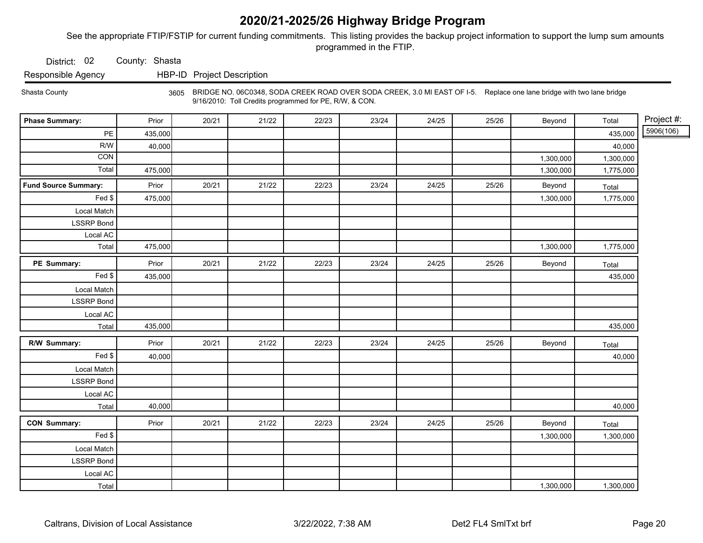See the appropriate FTIP/FSTIP for current funding commitments. This listing provides the backup project information to support the lump sum amounts programmed in the FTIP.

District: 02 County: Shasta

Responsible Agency HBP-ID Project Description

Shasta County 3605 BRIDGE NO. 06C0348, SODA CREEK ROAD OVER SODA CREEK, 3.0 MI EAST OF I-5. Replace one lane bridge with two lane bridge 9/16/2010: Toll Credits programmed for PE, R/W, & CON.

| <b>Phase Summary:</b>       | Prior   | 20/21 | 21/22 | 22/23 | 23/24 | 24/25 | 25/26 | Beyond    | Total     | Project #: |
|-----------------------------|---------|-------|-------|-------|-------|-------|-------|-----------|-----------|------------|
| PE                          | 435,000 |       |       |       |       |       |       |           | 435,000   | 5906(106)  |
| R/W                         | 40,000  |       |       |       |       |       |       |           | 40,000    |            |
| CON                         |         |       |       |       |       |       |       | 1,300,000 | 1,300,000 |            |
| Total                       | 475,000 |       |       |       |       |       |       | 1,300,000 | 1,775,000 |            |
| <b>Fund Source Summary:</b> | Prior   | 20/21 | 21/22 | 22/23 | 23/24 | 24/25 | 25/26 | Beyond    | Total     |            |
| Fed \$                      | 475,000 |       |       |       |       |       |       | 1,300,000 | 1,775,000 |            |
| Local Match                 |         |       |       |       |       |       |       |           |           |            |
| <b>LSSRP</b> Bond           |         |       |       |       |       |       |       |           |           |            |
| Local AC                    |         |       |       |       |       |       |       |           |           |            |
| Total                       | 475,000 |       |       |       |       |       |       | 1,300,000 | 1,775,000 |            |
| PE Summary:                 | Prior   | 20/21 | 21/22 | 22/23 | 23/24 | 24/25 | 25/26 | Beyond    | Total     |            |
| Fed \$                      | 435,000 |       |       |       |       |       |       |           | 435,000   |            |
| Local Match                 |         |       |       |       |       |       |       |           |           |            |
| <b>LSSRP</b> Bond           |         |       |       |       |       |       |       |           |           |            |
| Local AC                    |         |       |       |       |       |       |       |           |           |            |
| Total                       | 435,000 |       |       |       |       |       |       |           | 435,000   |            |
| R/W Summary:                | Prior   | 20/21 | 21/22 | 22/23 | 23/24 | 24/25 | 25/26 | Beyond    | Total     |            |
| Fed \$                      | 40,000  |       |       |       |       |       |       |           | 40,000    |            |
| Local Match                 |         |       |       |       |       |       |       |           |           |            |
| <b>LSSRP</b> Bond           |         |       |       |       |       |       |       |           |           |            |
| Local AC                    |         |       |       |       |       |       |       |           |           |            |
| Total                       | 40,000  |       |       |       |       |       |       |           | 40,000    |            |
| <b>CON Summary:</b>         | Prior   | 20/21 | 21/22 | 22/23 | 23/24 | 24/25 | 25/26 | Beyond    | Total     |            |
| Fed                         |         |       |       |       |       |       |       | 1,300,000 | 1,300,000 |            |
| Local Match                 |         |       |       |       |       |       |       |           |           |            |
| <b>LSSRP</b> Bond           |         |       |       |       |       |       |       |           |           |            |
| Local AC                    |         |       |       |       |       |       |       |           |           |            |
| Total                       |         |       |       |       |       |       |       | 1,300,000 | 1,300,000 |            |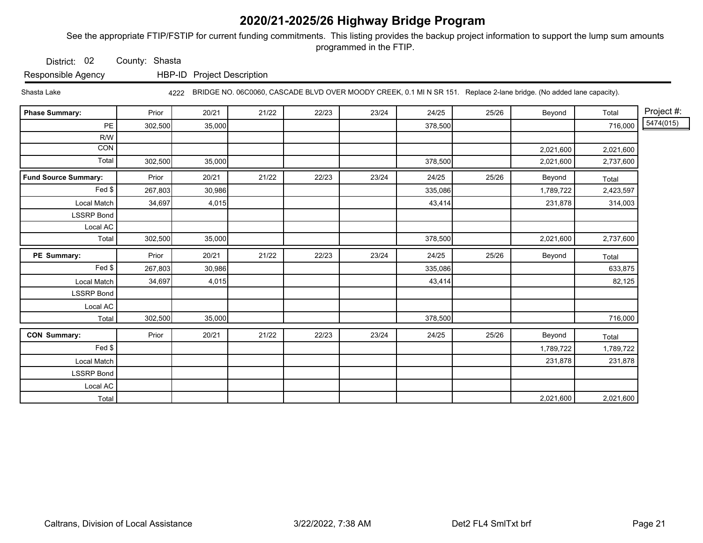See the appropriate FTIP/FSTIP for current funding commitments. This listing provides the backup project information to support the lump sum amounts programmed in the FTIP.

District: 02 County: Shasta

Responsible Agency HBP-ID Project Description

Shasta Lake 4222 BRIDGE NO. 06C0060, CASCADE BLVD OVER MOODY CREEK, 0.1 MI N SR 151. Replace 2-lane bridge. (No added lane capacity).

| <b>Phase Summary:</b>       | Prior   | 20/21  | 21/22 | 22/23 | 23/24 | 24/25   | 25/26 | Beyond    | Total     | Project #: |
|-----------------------------|---------|--------|-------|-------|-------|---------|-------|-----------|-----------|------------|
| PE                          | 302,500 | 35,000 |       |       |       | 378,500 |       |           | 716,000   | 5474(015)  |
| R/W                         |         |        |       |       |       |         |       |           |           |            |
| CON                         |         |        |       |       |       |         |       | 2,021,600 | 2,021,600 |            |
| Total                       | 302,500 | 35,000 |       |       |       | 378,500 |       | 2,021,600 | 2,737,600 |            |
| <b>Fund Source Summary:</b> | Prior   | 20/21  | 21/22 | 22/23 | 23/24 | 24/25   | 25/26 | Beyond    | Total     |            |
| Fed \$                      | 267,803 | 30,986 |       |       |       | 335,086 |       | 1,789,722 | 2,423,597 |            |
| Local Match                 | 34,697  | 4,015  |       |       |       | 43,414  |       | 231,878   | 314,003   |            |
| <b>LSSRP Bond</b>           |         |        |       |       |       |         |       |           |           |            |
| Local AC                    |         |        |       |       |       |         |       |           |           |            |
| Total                       | 302,500 | 35,000 |       |       |       | 378,500 |       | 2,021,600 | 2,737,600 |            |
| PE Summary:                 | Prior   | 20/21  | 21/22 | 22/23 | 23/24 | 24/25   | 25/26 | Beyond    | Total     |            |
| Fed \$                      | 267,803 | 30,986 |       |       |       | 335,086 |       |           | 633,875   |            |
| Local Match                 | 34,697  | 4,015  |       |       |       | 43,414  |       |           | 82,125    |            |
| <b>LSSRP Bond</b>           |         |        |       |       |       |         |       |           |           |            |
| Local AC                    |         |        |       |       |       |         |       |           |           |            |
| Total                       | 302,500 | 35,000 |       |       |       | 378,500 |       |           | 716,000   |            |
| <b>CON Summary:</b>         | Prior   | 20/21  | 21/22 | 22/23 | 23/24 | 24/25   | 25/26 | Beyond    | Total     |            |
| Fed \$                      |         |        |       |       |       |         |       | 1,789,722 | 1,789,722 |            |
| Local Match                 |         |        |       |       |       |         |       | 231,878   | 231,878   |            |
| <b>LSSRP Bond</b>           |         |        |       |       |       |         |       |           |           |            |
| Local AC                    |         |        |       |       |       |         |       |           |           |            |
| Total                       |         |        |       |       |       |         |       | 2,021,600 | 2,021,600 |            |